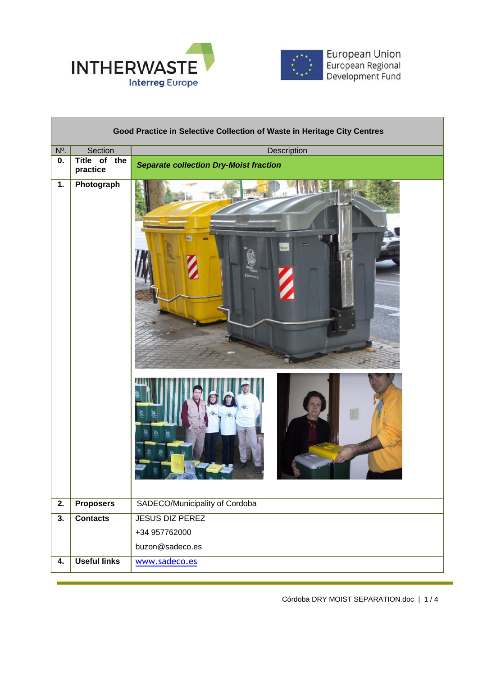



European Union<br>European Regional<br>Development Fund

| Good Practice in Selective Collection of Waste in Heritage City Centres |                          |                                               |  |  |
|-------------------------------------------------------------------------|--------------------------|-----------------------------------------------|--|--|
| $N^{\circ}$ .                                                           | Section                  | Description                                   |  |  |
| 0.                                                                      | Title of the<br>practice | <b>Separate collection Dry-Moist fraction</b> |  |  |
| $\overline{1}$ .                                                        | Photograph               | O                                             |  |  |
| 2.                                                                      | <b>Proposers</b>         | SADECO/Municipality of Cordoba                |  |  |
| 3.                                                                      | <b>Contacts</b>          | <b>JESUS DIZ PEREZ</b>                        |  |  |
|                                                                         |                          | +34 957762000                                 |  |  |
|                                                                         |                          | buzon@sadeco.es                               |  |  |
| 4.                                                                      | <b>Useful links</b>      | www.sadeco.es                                 |  |  |

Córdoba DRY MOIST SEPARATION.doc | 1 / 4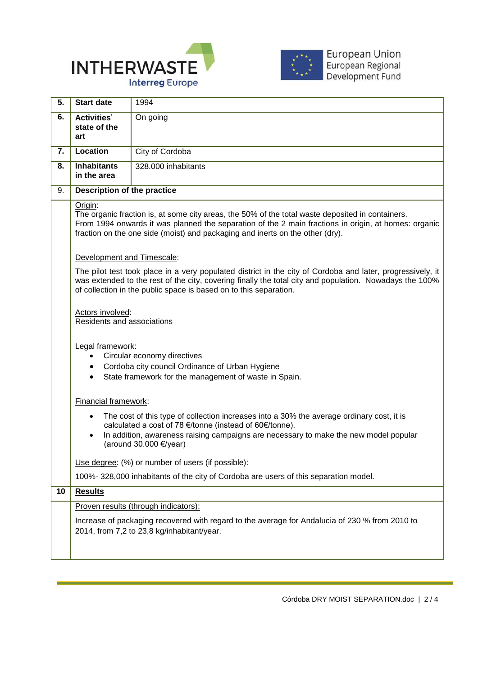



| <b>Start date</b>                                                                                                                                                                                                                                                                                    | 1994                                                                                                                                                                                                                                                                             |  |
|------------------------------------------------------------------------------------------------------------------------------------------------------------------------------------------------------------------------------------------------------------------------------------------------------|----------------------------------------------------------------------------------------------------------------------------------------------------------------------------------------------------------------------------------------------------------------------------------|--|
| <b>Activities'</b><br>state of the<br>art                                                                                                                                                                                                                                                            | On going                                                                                                                                                                                                                                                                         |  |
| Location                                                                                                                                                                                                                                                                                             | City of Cordoba                                                                                                                                                                                                                                                                  |  |
| <b>Inhabitants</b><br>in the area                                                                                                                                                                                                                                                                    | 328.000 inhabitants                                                                                                                                                                                                                                                              |  |
| <b>Description of the practice</b>                                                                                                                                                                                                                                                                   |                                                                                                                                                                                                                                                                                  |  |
| Origin:<br>The organic fraction is, at some city areas, the 50% of the total waste deposited in containers.<br>From 1994 onwards it was planned the separation of the 2 main fractions in origin, at homes: organic<br>fraction on the one side (moist) and packaging and inerts on the other (dry). |                                                                                                                                                                                                                                                                                  |  |
| Development and Timescale:                                                                                                                                                                                                                                                                           |                                                                                                                                                                                                                                                                                  |  |
| The pilot test took place in a very populated district in the city of Cordoba and later, progressively, it<br>was extended to the rest of the city, covering finally the total city and population. Nowadays the 100%<br>of collection in the public space is based on to this separation.           |                                                                                                                                                                                                                                                                                  |  |
| Actors involved:<br>Residents and associations                                                                                                                                                                                                                                                       |                                                                                                                                                                                                                                                                                  |  |
| Legal framework:<br>Circular economy directives<br>$\bullet$<br>Cordoba city council Ordinance of Urban Hygiene<br>$\bullet$<br>State framework for the management of waste in Spain.<br>$\bullet$                                                                                                   |                                                                                                                                                                                                                                                                                  |  |
| Financial framework:                                                                                                                                                                                                                                                                                 |                                                                                                                                                                                                                                                                                  |  |
| $\bullet$<br>$\bullet$                                                                                                                                                                                                                                                                               | The cost of this type of collection increases into a 30% the average ordinary cost, it is<br>calculated a cost of 78 €/tonne (instead of 60€/tonne).<br>In addition, awareness raising campaigns are necessary to make the new model popular<br>(around 30.000 $\epsilon$ /year) |  |
|                                                                                                                                                                                                                                                                                                      | Use degree: (%) or number of users (if possible):                                                                                                                                                                                                                                |  |
|                                                                                                                                                                                                                                                                                                      | 100%-328,000 inhabitants of the city of Cordoba are users of this separation model.                                                                                                                                                                                              |  |
| <b>Results</b>                                                                                                                                                                                                                                                                                       |                                                                                                                                                                                                                                                                                  |  |
| Proven results (through indicators):                                                                                                                                                                                                                                                                 |                                                                                                                                                                                                                                                                                  |  |
| Increase of packaging recovered with regard to the average for Andalucia of 230 % from 2010 to<br>2014, from 7,2 to 23,8 kg/inhabitant/year.                                                                                                                                                         |                                                                                                                                                                                                                                                                                  |  |
|                                                                                                                                                                                                                                                                                                      |                                                                                                                                                                                                                                                                                  |  |

 $\overline{a}$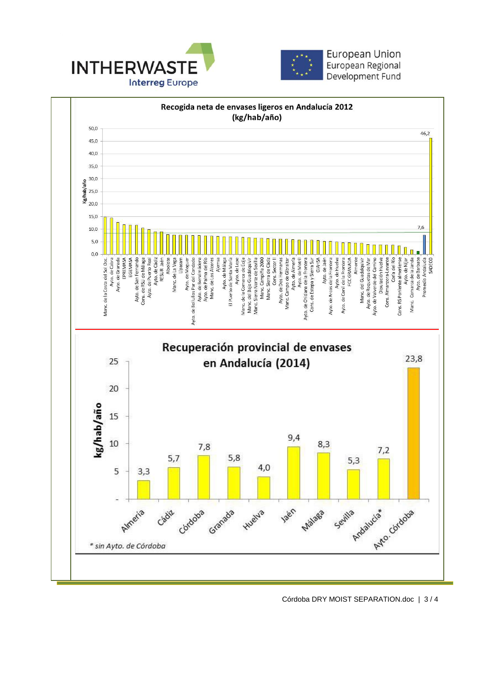



European Union European Regional Development Fund



Córdoba DRY MOIST SEPARATION.doc | 3 / 4